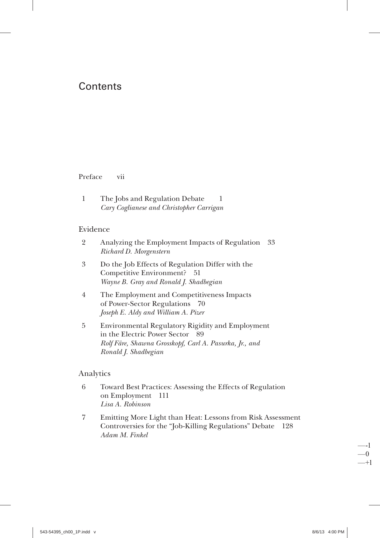# Contents

#### Preface vii

 $\mathbf{1}$ The Jobs and Regulation Debate  $\mathbf{1}$ Cary Coglianese and Christopher Carrigan

#### Evidence

- $\overline{2}$ Analyzing the Employment Impacts of Regulation 33 Richard D. Morgenstern
- $\overline{3}$ Do the Job Effects of Regulation Differ with the Competitive Environment? 51 Wayne B. Gray and Ronald J. Shadbegian
- $\overline{4}$ The Employment and Competitiveness Impacts of Power-Sector Regulations 70 Joseph E. Aldy and William A. Pizer
- $\overline{5}$ Environmental Regulatory Rigidity and Employment in the Electric Power Sector 89 Rolf Färe, Shawna Grosskopf, Carl A. Pasurka, Jr., and Ronald J. Shadbegian

#### Analytics

- 6 Toward Best Practices: Assessing the Effects of Regulation on Employment 111 Lisa A. Robinson
- $\overline{7}$ Emitting More Light than Heat: Lessons from Risk Assessment Controversies for the "Job-Killing Regulations" Debate 128 Adam M. Finkel

 $-1$  $-0$  $-+1$